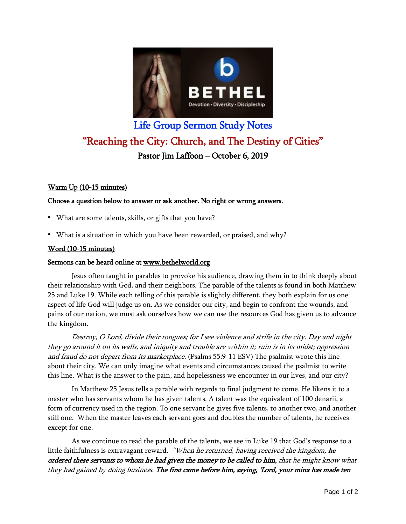

# Life Group Sermon Study Notes "Reaching the City: Church, and The Destiny of Cities" Pastor Jim Laffoon – October 6, 2019

# Warm Up (10-15 minutes)

## Choose a question below to answer or ask another. No right or wrong answers.

- What are some talents, skills, or gifts that you have?
- What is a situation in which you have been rewarded, or praised, and why?

## Word (10-15 minutes)

## Sermons can be heard online at [www.bethelworld.org](http://www.bethelworld.org/)

Jesus often taught in parables to provoke his audience, drawing them in to think deeply about their relationship with God, and their neighbors. The parable of the talents is found in both Matthew 25 and Luke 19. While each telling of this parable is slightly different, they both explain for us one aspect of life God will judge us on. As we consider our city, and begin to confront the wounds, and pains of our nation, we must ask ourselves how we can use the resources God has given us to advance the kingdom.

Destroy, O Lord, divide their tongues; for <sup>I</sup> see violence and strife in the city. Day and night they go around it on its walls, and iniquity and trouble are within it; ruin is in its midst; oppression and fraud do not depart from its marketplace. (Psalms 55:9-11 ESV) The psalmist wrote this line about their city. We can only imagine what events and circumstances caused the psalmist to write this line. What is the answer to the pain, and hopelessness we encounter in our lives, and our city?

In Matthew 25 Jesus tells a parable with regards to final judgment to come. He likens it to a master who has servants whom he has given talents. A talent was the equivalent of 100 denarii, a form of currency used in the region. To one servant he gives five talents, to another two, and another still one. When the master leaves each servant goes and doubles the number of talents, he receives except for one.

As we continue to read the parable of the talents, we see in Luke 19 that God's response to a little faithfulness is extravagant reward. "When he returned, having received the kingdom, he ordered these servants to whom he had given the money to be called to him, that he might know what they had gained by doing business. The first came before him, saying, 'Lord, your mina has made ten